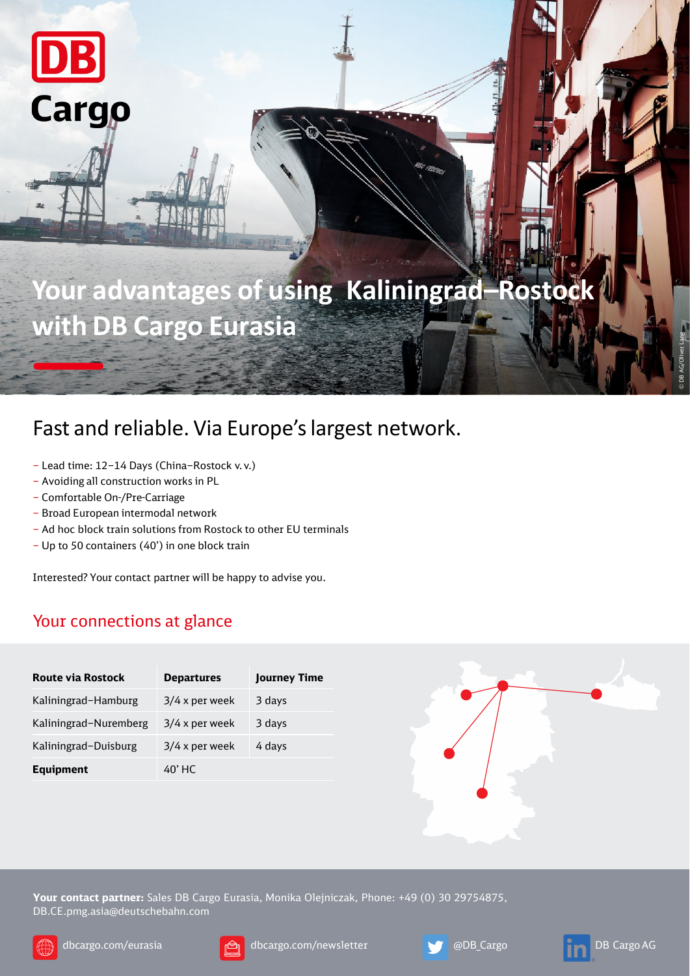

## Fast and reliable. Via Europe's largest network.

- Lead time: 12–14 Days (China–Rostock v. v.)
- Avoiding all construction works in PL
- Comfortable On-/Pre-Carriage

DB

Cargo

- Broad European intermodal network
- Ad hoc block train solutions from Rostock to other EU terminals
- Up to 50 containers (40') in one block train

Interested? Your contact partner will be happy to advise you.

## Your connections at glance

| <b>Route via Rostock</b> | <b>Departures</b> | <b>Journey Time</b> |
|--------------------------|-------------------|---------------------|
| Kaliningrad-Hamburg      | $3/4$ x per week  | 3 days              |
| Kaliningrad-Nuremberg    | $3/4$ x per week  | 3 days              |
| Kaliningrad-Duisburg     | $3/4$ x per week  | 4 days              |
| <b>Equipment</b>         | 40' HC            |                     |



**Your contact partner:** Sales DB Cargo Eurasia, Monika Olejniczak, Phone: +49 (0) 30 29754875, DB.CE.pmg.asia@deutschebahn.com







©

DB AG/Oliver Lang